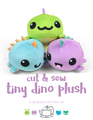# cut & sew tiny dino plush

**a sewing pattern by**

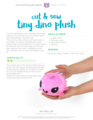## cut & sew tiny dino plush

**2**

If you're reading this, then you likely purchased some of my Cut & Sew Tiny Dino Plush fabric from Spoonflower. So thank you! These instructions will go over how to sew up your fabric to make an adorable dino plush. It looks both cute and goofy as it's mostly head and tail with four itty-bitty legs. As if it's just been hatched and ready to waddle around. Any dinosaur lover is sure to be happy to see it!

#### **skills used:**

- Ladder stitch
- Sewing curves
- Sewing tiny pieces
- Basting

#### **makes:**

One plush, about 5" wide, 5" tall, and 7" long

#### **difficulty:**  <u>s de eja e e e e</u>

The hardest part of this plush is likely sewing all the very tiny pieces, including the four legs and several tiny spikes. So it might be closer to a 3 out of 10 depending on what you're comfortable with.

Aside from that, there are some darts and curved sewing to contend with.

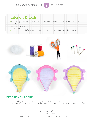cut & sew tiny dino plush and sewing tutorial



### **materials & tools:** • your pre-printed cut & sew narwhal plush fabric from Spoonflower (at least one fat quarter)

- sewing thread to match fabrics
- poly-fil stuffing
- basic sewing tools (sewing machine, scissors, needles, pins, seam ripper, etc.)



#### **before you begin:**

- Briefly read the project instructions so you know what to expect.
- Note that a ¼" seam allowance is used throughout the project -- already included in the fabric.

sew desu ne? | www.cholyknight.com |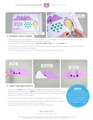cut & sew tiny dino plush  $\overline{A}$  sewing tutorial



**4**

- Grab your printed Spoonflower cut & sew fabric. If you ordered ¼ yd. of minky or fleece, it should include all the pieces needed (surrounded by a border). There should be 20 pieces included: **bottom**, **body**, **feet** (8), and **spikes** (10).
- If you're new to sewing, you might want to wait until the applicable step before cutting your fabric so you can refer to the notes and labels. Once you need a piece, cut it out along the dotted lines outside the shape.



- labeled on the fabric) are the *darts*. Sew these by folding over the left-most side of the body piece with right sides facing. Match up the diagonal edges that form the 'legs' of these darts.
- Sew the darts by starting at the opening and moving down to the point.
- When sewing the point, try to blend the seam in with the fold so it makes a smooth transition and a rounder finished plush. Repeat with the right side of the plush for two finished darts.

A wedge-shaped gap found in a pattern. When ewn in fabric, it creates a tuck in the fabric and develops a 3D shape. The diagonal sides of the wedge are the **legs**; these are matched up and sewn to the **point** of the dart.

// ©2017 Choly Knight // Items made using this pattern may be sold. Credit to "Choly Knight" or "Sew Desu Ne?" is appreciated.<br>You may not reproduce, share, freely distribute, or sell this pattern as your own in digital or

sew desu ne? | www.cholyknight.com |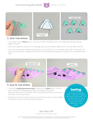cut & sew tiny dino plush sewing Tutorial





**5**

- Cut out all of your **spike** pieces. Take two of them and align them with right sides facing and raw edges lining up.
- Sew them together along the curved edge, leaving the straight edge free for turning right side out.
- Trim the excess seam allowance along the curve at the tip. Turn the spike right side out through the opening in the bottom. Repeat this with the remaining 8 spike pieces so you have 5 completed spikes total.



- Locate the *spike placement areas* printed on the **body** piece. They're the contrast color bands going down the length of the body. Align the open end of the spike within the placement lines so the tip of the spike is pointing inward.
- Repeat this with all 5 spikes along one half of the body as shown. Baste the spikes in place within the seam allowance.

**basting:**

A form of temporary sewing meant to hold pieces in place. A long stitch length is often used for this reason. The finished result is not meant to be seen and sometimes is even removed later •• (depending on your project).

sew desu ne? | www.cholyknight.com |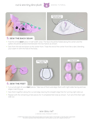cut & sew tiny dino plush 6 SEWING TUTORIAL





**6**

- Fold the entire **body** piece in half width-wise. The face should be folded along the center and the spikes should be sandwiched between the two halves as shown.
- Sew from the tail end down to the center front. Treat the end of the center front like a dart, blending your seam in with the fold of the body.



- Cut out all eight of your **feet** pieces. Take two of them and align them with right sides facing and raw edges matching up.
- Sew them together along the curved edge, leaving the straight edge free for turning right side out.
- Repeat with the remaining 6 feet pieces for 4 completed feet total as shown. Turn all of the feet right side out.

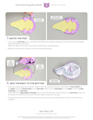#### **7** cut & sew tiny dino plush 7 SEWING TUTORIAL



- Cut out your **BOTTOM** piece. Locate the foot placement areas indicated in contrasting colored bands along the edge of the piece. Align the open end of your foot pieces inside these colored bands.
- Baste the foot pieces in place within the seam allowances.



• Grab your body piece from earlier. Align it with the bottom piece by matching the *front notch* on the **body** with the *front notch* on the **BOTTOM**. Match up the *tail seam* on the **BODY** with the *circle* **marking** on the **bottom**.

Note where the *opening for turning* area is near the tail (the colored band on the **bottom** piece). Pin the body to the bottom all around the perimeter except for this area.

• Sew around the perimeter of the body, being sure to leave an opening for turning near the tail as marked.